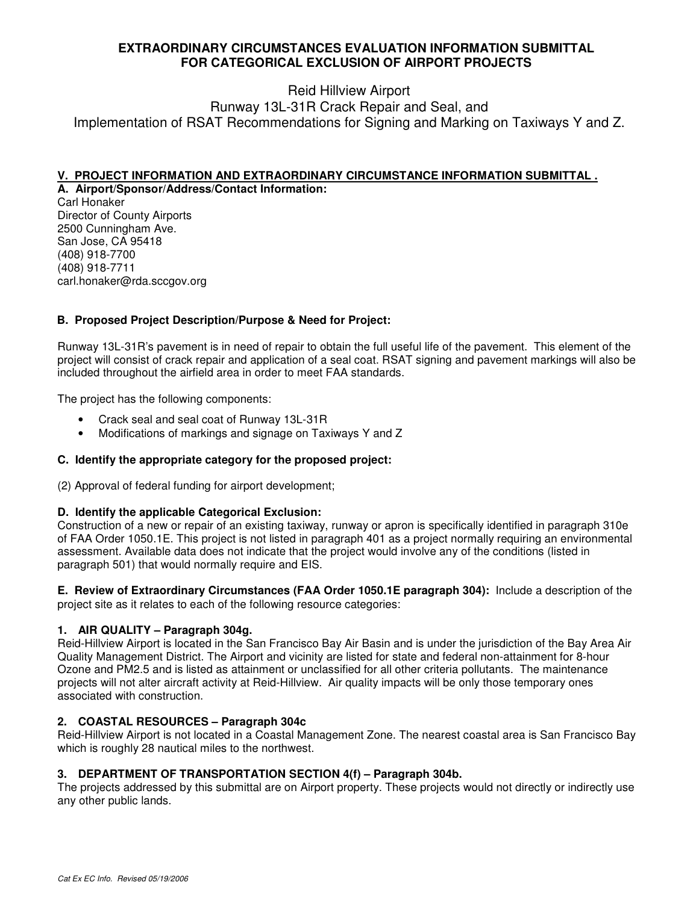## **EXTRAORDINARY CIRCUMSTANCES EVALUATION INFORMATION SUBMITTAL FOR CATEGORICAL EXCLUSION OF AIRPORT PROJECTS**

# Reid Hillview Airport

Runway 13L-31R Crack Repair and Seal, and Implementation of RSAT Recommendations for Signing and Marking on Taxiways Y and Z.

#### **V. PROJECT INFORMATION AND EXTRAORDINARY CIRCUMSTANCE INFORMATION SUBMITTAL . A. Airport/Sponsor/Address/Contact Information:**

Carl Honaker Director of County Airports 2500 Cunningham Ave. San Jose, CA 95418 (408) 918-7700 (408) 918-7711 carl.honaker@rda.sccgov.org

## **B. Proposed Project Description/Purpose & Need for Project:**

Runway 13L-31R's pavement is in need of repair to obtain the full useful life of the pavement. This element of the project will consist of crack repair and application of a seal coat. RSAT signing and pavement markings will also be included throughout the airfield area in order to meet FAA standards.

The project has the following components:

- Crack seal and seal coat of Runway 13L-31R
- Modifications of markings and signage on Taxiways Y and Z

### **C. Identify the appropriate category for the proposed project:**

(2) Approval of federal funding for airport development;

#### **D. Identify the applicable Categorical Exclusion:**

Construction of a new or repair of an existing taxiway, runway or apron is specifically identified in paragraph 310e of FAA Order 1050.1E. This project is not listed in paragraph 401 as a project normally requiring an environmental assessment. Available data does not indicate that the project would involve any of the conditions (listed in paragraph 501) that would normally require and EIS.

**E. Review of Extraordinary Circumstances (FAA Order 1050.1E paragraph 304):** Include a description of the project site as it relates to each of the following resource categories:

### **1. AIR QUALITY – Paragraph 304g.**

Reid-Hillview Airport is located in the San Francisco Bay Air Basin and is under the jurisdiction of the Bay Area Air Quality Management District. The Airport and vicinity are listed for state and federal non-attainment for 8-hour Ozone and PM2.5 and is listed as attainment or unclassified for all other criteria pollutants. The maintenance projects will not alter aircraft activity at Reid-Hillview. Air quality impacts will be only those temporary ones associated with construction.

### **2. COASTAL RESOURCES – Paragraph 304c**

Reid-Hillview Airport is not located in a Coastal Management Zone. The nearest coastal area is San Francisco Bay which is roughly 28 nautical miles to the northwest.

### **3. DEPARTMENT OF TRANSPORTATION SECTION 4(f) – Paragraph 304b.**

The projects addressed by this submittal are on Airport property. These projects would not directly or indirectly use any other public lands.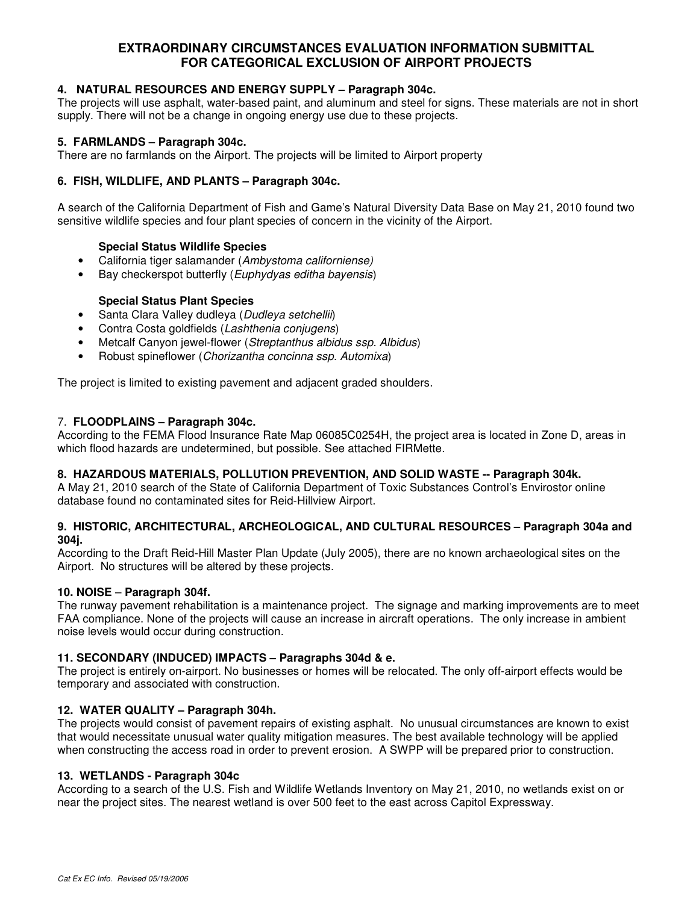## **EXTRAORDINARY CIRCUMSTANCES EVALUATION INFORMATION SUBMITTAL FOR CATEGORICAL EXCLUSION OF AIRPORT PROJECTS**

### **4. NATURAL RESOURCES AND ENERGY SUPPLY – Paragraph 304c.**

The projects will use asphalt, water-based paint, and aluminum and steel for signs. These materials are not in short supply. There will not be a change in ongoing energy use due to these projects.

### **5. FARMLANDS – Paragraph 304c.**

There are no farmlands on the Airport. The projects will be limited to Airport property

### **6. FISH, WILDLIFE, AND PLANTS – Paragraph 304c.**

A search of the California Department of Fish and Game's Natural Diversity Data Base on May 21, 2010 found two sensitive wildlife species and four plant species of concern in the vicinity of the Airport.

### **Special Status Wildlife Species**

- California tiger salamander (Ambystoma californiense)
- Bay checkerspot butterfly (*Euphydyas editha bayensis*)

### **Special Status Plant Species**

- Santa Clara Valley dudleya (Dudleya setchellii)
- Contra Costa goldfields (Lashthenia conjugens)
- Metcalf Canyon jewel-flower (Streptanthus albidus ssp. Albidus)
- Robust spineflower (Chorizantha concinna ssp. Automixa)

The project is limited to existing pavement and adjacent graded shoulders.

#### 7. **FLOODPLAINS – Paragraph 304c.**

According to the FEMA Flood Insurance Rate Map 06085C0254H, the project area is located in Zone D, areas in which flood hazards are undetermined, but possible. See attached FIRMette.

### **8. HAZARDOUS MATERIALS, POLLUTION PREVENTION, AND SOLID WASTE -- Paragraph 304k.**

A May 21, 2010 search of the State of California Department of Toxic Substances Control's Envirostor online database found no contaminated sites for Reid-Hillview Airport.

#### **9. HISTORIC, ARCHITECTURAL, ARCHEOLOGICAL, AND CULTURAL RESOURCES – Paragraph 304a and 304j.**

According to the Draft Reid-Hill Master Plan Update (July 2005), there are no known archaeological sites on the Airport. No structures will be altered by these projects.

#### **10. NOISE** – **Paragraph 304f.**

The runway pavement rehabilitation is a maintenance project. The signage and marking improvements are to meet FAA compliance. None of the projects will cause an increase in aircraft operations. The only increase in ambient noise levels would occur during construction.

#### **11. SECONDARY (INDUCED) IMPACTS – Paragraphs 304d & e.**

The project is entirely on-airport. No businesses or homes will be relocated. The only off-airport effects would be temporary and associated with construction.

#### **12. WATER QUALITY – Paragraph 304h.**

The projects would consist of pavement repairs of existing asphalt. No unusual circumstances are known to exist that would necessitate unusual water quality mitigation measures. The best available technology will be applied when constructing the access road in order to prevent erosion. A SWPP will be prepared prior to construction.

#### **13. WETLANDS - Paragraph 304c**

According to a search of the U.S. Fish and Wildlife Wetlands Inventory on May 21, 2010, no wetlands exist on or near the project sites. The nearest wetland is over 500 feet to the east across Capitol Expressway.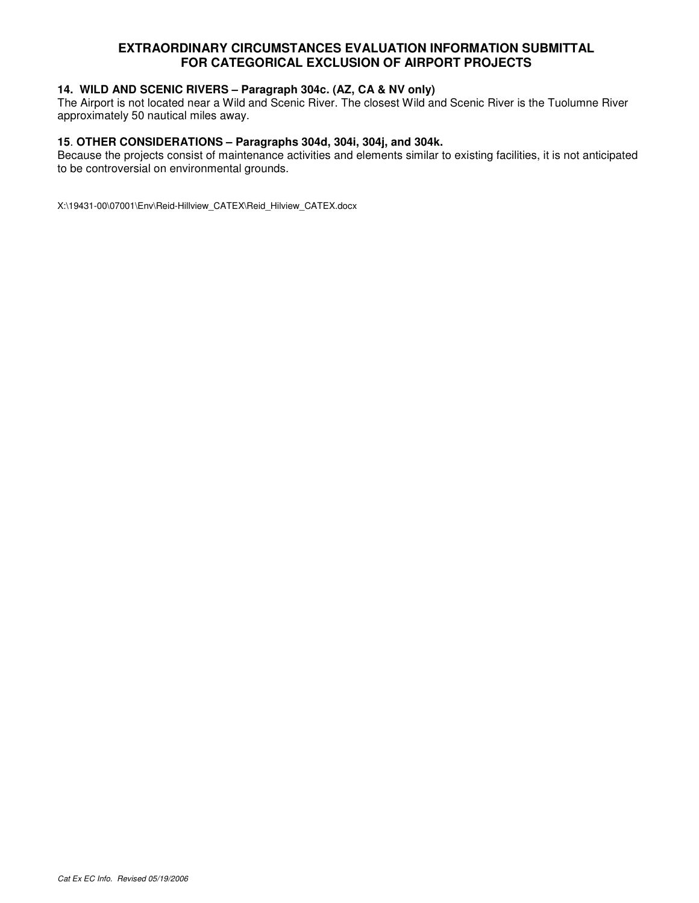## **EXTRAORDINARY CIRCUMSTANCES EVALUATION INFORMATION SUBMITTAL FOR CATEGORICAL EXCLUSION OF AIRPORT PROJECTS**

### **14. WILD AND SCENIC RIVERS – Paragraph 304c. (AZ, CA & NV only)**

The Airport is not located near a Wild and Scenic River. The closest Wild and Scenic River is the Tuolumne River approximately 50 nautical miles away.

#### **15**. **OTHER CONSIDERATIONS – Paragraphs 304d, 304i, 304j, and 304k.**

Because the projects consist of maintenance activities and elements similar to existing facilities, it is not anticipated to be controversial on environmental grounds.

X:\19431-00\07001\Env\Reid-Hillview\_CATEX\Reid\_Hilview\_CATEX.docx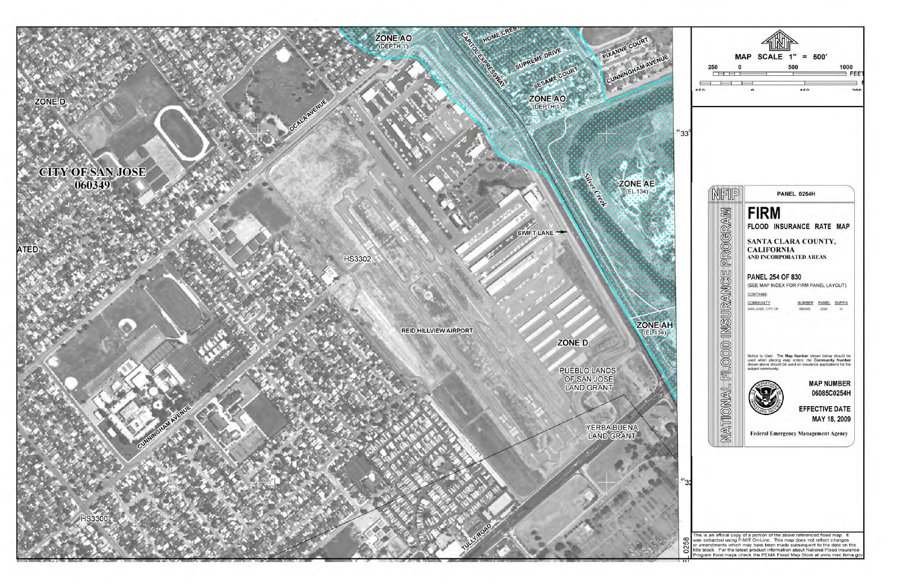